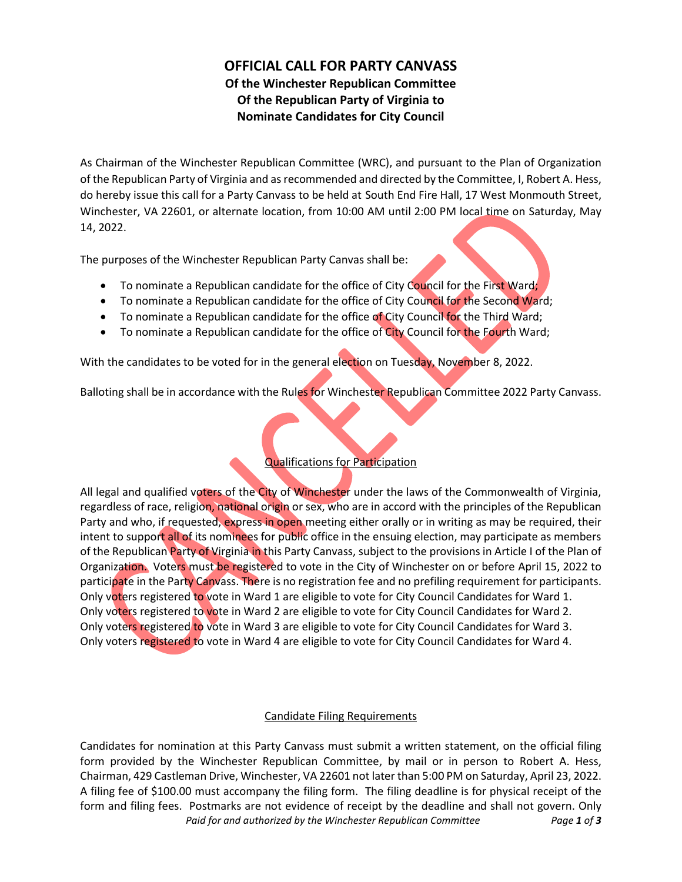# **OFFICIAL CALL FOR PARTY CANVASS Of the Winchester Republican Committee Of the Republican Party of Virginia to Nominate Candidates for City Council**

As Chairman of the Winchester Republican Committee (WRC), and pursuant to the Plan of Organization of the Republican Party of Virginia and as recommended and directed by the Committee, I, Robert A. Hess, do hereby issue this call for a Party Canvass to be held at South End Fire Hall, 17 West Monmouth Street, Winchester, VA 22601, or alternate location, from 10:00 AM until 2:00 PM local time on Saturday, May 14, 2022.

The purposes of the Winchester Republican Party Canvas shall be:

- To nominate a Republican candidate for the office of City Council for the First Ward;
- To nominate a Republican candidate for the office of City Council for the Second Ward;
- To nominate a Republican candidate for the office of City Council for the Third Ward;
- To nominate a Republican candidate for the office of City Council for the Fourth Ward;

With the candidates to be voted for in the general election on Tuesday, November 8, 2022.

Balloting shall be in accordance with the Rules for Winchester Republican Committee 2022 Party Canvass.

## Qualifications for Participation

All legal and qualified voters of the City of Winchester under the laws of the Commonwealth of Virginia, regardless of race, religion, national origin or sex, who are in accord with the principles of the Republican Party and who, if requested, express in open meeting either orally or in writing as may be required, their intent to support all of its nominees for public office in the ensuing election, may participate as members of the Republican Party of Virginia in this Party Canvass, subject to the provisions in Article I of the Plan of Organization. Voters must be registered to vote in the City of Winchester on or before April 15, 2022 to participate in the Party Canvass. There is no registration fee and no prefiling requirement for participants. Only voters registered to vote in Ward 1 are eligible to vote for City Council Candidates for Ward 1. Only voters registered to vote in Ward 2 are eligible to vote for City Council Candidates for Ward 2. Only voters registered to vote in Ward 3 are eligible to vote for City Council Candidates for Ward 3. Only voters registered to vote in Ward 4 are eligible to vote for City Council Candidates for Ward 4.

#### Candidate Filing Requirements

*Paid for and authorized by the Winchester Republican Committee Page 1 of 3* Candidates for nomination at this Party Canvass must submit a written statement, on the official filing form provided by the Winchester Republican Committee, by mail or in person to Robert A. Hess, Chairman, 429 Castleman Drive, Winchester, VA 22601 not later than 5:00 PM on Saturday, April 23, 2022. A filing fee of \$100.00 must accompany the filing form. The filing deadline is for physical receipt of the form and filing fees. Postmarks are not evidence of receipt by the deadline and shall not govern. Only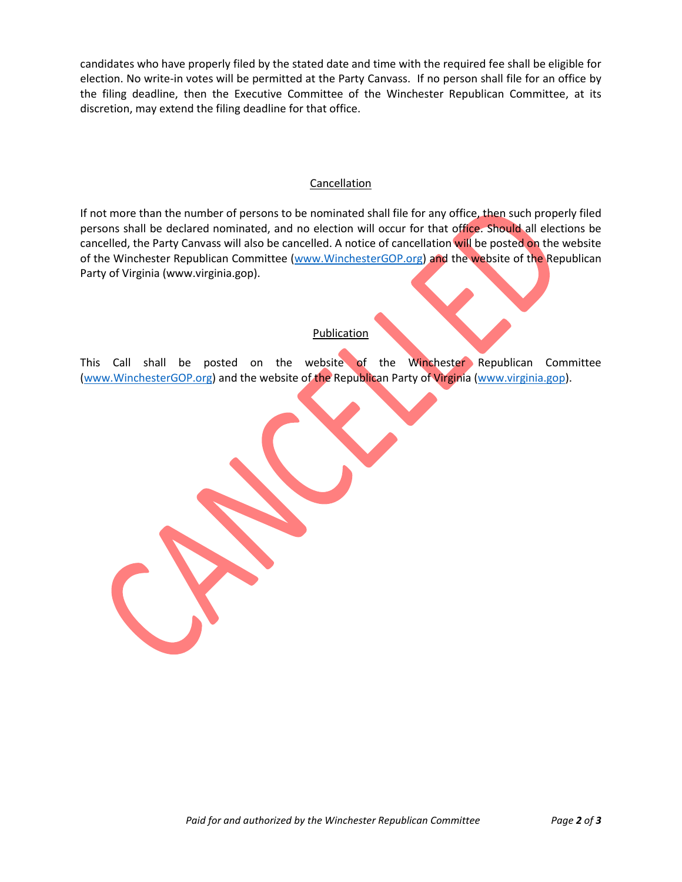candidates who have properly filed by the stated date and time with the required fee shall be eligible for election. No write-in votes will be permitted at the Party Canvass. If no person shall file for an office by the filing deadline, then the Executive Committee of the Winchester Republican Committee, at its discretion, may extend the filing deadline for that office.

#### Cancellation

If not more than the number of persons to be nominated shall file for any office, then such properly filed persons shall be declared nominated, and no election will occur for that office. Should all elections be cancelled, the Party Canvass will also be cancelled. A notice of cancellation will be posted on the website of the Winchester Republican Committee [\(www.WinchesterGOP.org\)](http://www.winchestergop.org/) and the website of the Republican Party of Virginia (www.virginia.gop).

#### Publication

This Call shall be posted on the website of the Winchester Republican Committee [\(www.WinchesterGOP.org\)](http://www.winchestergop.org/) and the website of the Republican Party of Virginia [\(www.virginia.gop\)](http://www.virginia.gop/).